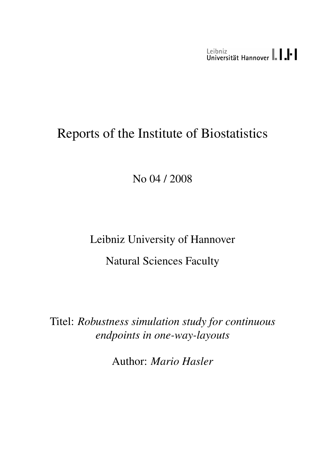Leibniz<br>Universität Hannover | | | |

# Reports of the Institute of Biostatistics

No 04 / 2008

Leibniz University of Hannover Natural Sciences Faculty

Titel: *Robustness simulation study for continuous endpoints in one-way-layouts*

Author: *Mario Hasler*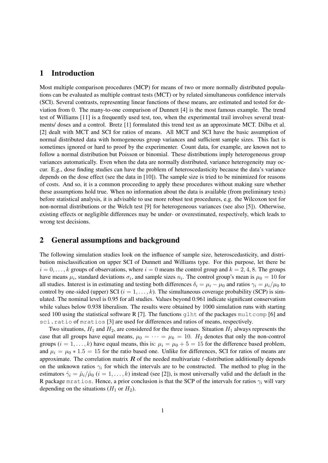### 1 Introduction

Most multiple comparison procedures (MCP) for means of two or more normally distributed populations can be evaluated as multiple contrast tests (MCT) or by related simultaneous confidence intervals (SCI). Several contrasts, representing linear functions of these means, are estimated and tested for deviation from 0. The many-to-one comparison of Dunnett [4] is the most famous example. The trend test of Williams [11] is a frequently used test, too, when the experimental trail involves several treatments/ doses and a control. Bretz [1] formulated this trend test as an approximate MCT. Dilba et al. [2] dealt with MCT and SCI for ratios of means. All MCT and SCI have the basic assumption of normal distributed data with homogeneous group variances and sufficient sample sizes. This fact is sometimes ignored or hard to proof by the experimenter. Count data, for example, are known not to follow a normal distribution but Poisson or binomial. These distributions imply heterogeneous group variances automatically. Even when the data are normally distributed, variance heterogeneity may occur. E.g., dose finding studies can have the problem of heteroscedasticity because the data's variance depends on the dose effect (see the data in [10]). The sample size is tried to be minimized for reasons of costs. And so, it is a common proceeding to apply these procedures without making sure whether these assumptions hold true. When no information about the data is available (from preliminary tests) before statistical analysis, it is advisable to use more robust test procedures, e.g. the Wilcoxon test for non-normal distributions or the Welch test [9] for heterogeneous variances (see also [5]). Otherwise, existing effects or negligible differences may be under- or overestimated, respectively, which leads to wrong test decisions.

# 2 General assumptions and background

The following simulation studies look on the influence of sample size, heteroscedasticity, and distribution misclassification on upper SCI of Dunnett and Williams type. For this purpose, let there be  $i = 0, \ldots, k$  groups of observations, where  $i = 0$  means the control group and  $k = 2, 4, 8$ . The groups have means  $\mu_i$ , standard deviations  $\sigma_i$ , and sample sizes  $n_i$ . The control group's mean is  $\mu_0 = 10$  for all studies. Interest is in estimating and testing both differences  $\delta_i = \mu_i - \mu_0$  and ratios  $\gamma_i = \mu_i/\mu_0$  to control by one-sided (upper) SCI  $(i = 1, \ldots, k)$ . The simultaneous coverage probability (SCP) is simulated. The nominal level is 0.95 for all studies. Values beyond 0.961 indicate significant conservatism while values below 0.938 liberalism. The results were obtained by 1000 simulation runs with starting seed 100 using the statistical software R [7]. The functions  $q$ lht of the packages multcomp [6] and sci.ratio of mratios [3] are used for differences and ratios of means, respectively.

Two situations,  $H_1$  and  $H_2$ , are considered for the three issues. Situation  $H_1$  always represents the case that all groups have equal means,  $\mu_0 = \cdots = \mu_k = 10$ .  $H_2$  denotes that only the non-control groups  $(i = 1, \ldots, k)$  have equal means, this is:  $\mu_i = \mu_0 + 5 = 15$  for the difference based problem, and  $\mu_i = \mu_0 * 1.5 = 15$  for the ratio based one. Unlike for differences, SCI for ratios of means are approximate. The correlation matrix  $\bf{R}$  of the needed multivariate t-distribution additionally depends on the unknown ratios  $\gamma_i$  for which the intervals are to be constructed. The method to plug in the estimators  $\hat{\gamma}_i = \hat{\mu}_i / \hat{\mu}_0$  ( $i = 1, ..., k$ ) instead (see [2]), is most universally valid and the default in the R package mratios. Hence, a prior conclusion is that the SCP of the intervals for ratios  $\gamma_i$  will vary depending on the situations  $(H_1 \text{ or } H_2)$ .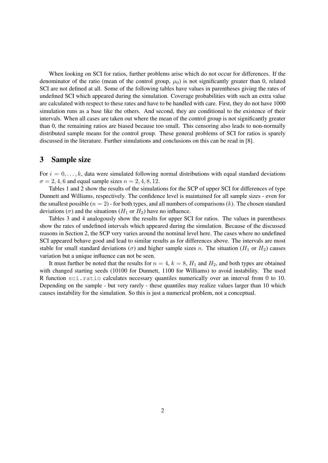When looking on SCI for ratios, further problems arise which do not occur for differences. If the denominator of the ratio (mean of the control group,  $\mu_0$ ) is not significantly greater than 0, related SCI are not defined at all. Some of the following tables have values in parentheses giving the rates of undefined SCI which appeared during the simulation. Coverage probabilities with such an extra value are calculated with respect to these rates and have to be handled with care. First, they do not have 1000 simulation runs as a base like the others. And second, they are conditional to the existence of their intervals. When all cases are taken out where the mean of the control group is not significantly greater than 0, the remaining ratios are biased because too small. This censoring also leads to non-normally distributed sample means for the control group. These general problems of SCI for ratios is sparely discussed in the literature. Further simulations and conclusions on this can be read in [8].

# 3 Sample size

For  $i = 0, \ldots, k$ , data were simulated following normal distributions with equal standard deviations  $\sigma = 2, 4, 6$  and equal sample sizes  $n = 2, 4, 8, 12$ .

Tables 1 and 2 show the results of the simulations for the SCP of upper SCI for differences of type Dunnett and Williams, respectively. The confidence level is maintained for all sample sizes - even for the smallest possible  $(n = 2)$  - for both types, and all numbers of comparisons  $(k)$ . The chosen standard deviations ( $\sigma$ ) and the situations ( $H_1$  or  $H_2$ ) have no influence.

Tables 3 and 4 analogously show the results for upper SCI for ratios. The values in parentheses show the rates of undefined intervals which appeared during the simulation. Because of the discussed reasons in Section 2, the SCP very varies around the nominal level here. The cases where no undefined SCI appeared behave good and lead to similar results as for differences above. The intervals are most stable for small standard deviations ( $\sigma$ ) and higher sample sizes n. The situation ( $H_1$  or  $H_2$ ) causes variation but a unique influence can not be seen.

It must further be noted that the results for  $n = 4$ ,  $k = 8$ ,  $H_1$  and  $H_2$ , and both types are obtained with changed starting seeds (10100 for Dunnett, 1100 for Williams) to avoid instability. The used R function sci.ratio calculates necessary quantiles numerically over an interval from 0 to 10. Depending on the sample - but very rarely - these quantiles may realize values larger than 10 which causes instability for the simulation. So this is just a numerical problem, not a conceptual.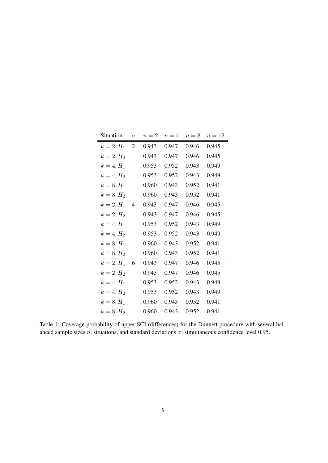| Situation    | $\sigma$       | $n=2$ | $n=4$ | $n=8$ | $n=12$ |
|--------------|----------------|-------|-------|-------|--------|
| $k = 2, H_1$ | 2              | 0.943 | 0.947 | 0.946 | 0.945  |
| $k = 2, H_2$ |                | 0.943 | 0.947 | 0.946 | 0.945  |
| $k = 4, H_1$ |                | 0.953 | 0.952 | 0.943 | 0.949  |
| $k = 4, H_2$ |                | 0.953 | 0.952 | 0.943 | 0.949  |
| $k = 8, H_1$ |                | 0.960 | 0.943 | 0.952 | 0.941  |
| $k = 8, H_2$ |                | 0.960 | 0.943 | 0.952 | 0.941  |
| $k = 2, H_1$ | $\overline{4}$ | 0.943 | 0.947 | 0.946 | 0.945  |
| $k = 2, H_2$ |                | 0.943 | 0.947 | 0.946 | 0.945  |
| $k = 4, H_1$ |                | 0.953 | 0.952 | 0.943 | 0.949  |
| $k = 4, H_2$ |                | 0.953 | 0.952 | 0.943 | 0.949  |
| $k = 8, H_1$ |                | 0.960 | 0.943 | 0.952 | 0.941  |
| $k = 8, H_2$ |                | 0.960 | 0.943 | 0.952 | 0.941  |
| $k = 2, H_1$ | 6              | 0.943 | 0.947 | 0.946 | 0.945  |
| $k = 2, H_2$ |                | 0.943 | 0.947 | 0.946 | 0.945  |
| $k = 4, H_1$ |                | 0.953 | 0.952 | 0.943 | 0.949  |
| $k = 4, H_2$ |                | 0.953 | 0.952 | 0.943 | 0.949  |
| $k = 8, H_1$ |                | 0.960 | 0.943 | 0.952 | 0.941  |
| $k = 8, H_2$ |                | 0.960 | 0.943 | 0.952 | 0.941  |

Table 1: Coverage probability of upper SCI (differences) for the Dunnett procedure with several balanced sample sizes n, situations, and standard deviations  $\sigma$ ; simultaneous confidence level 0.95.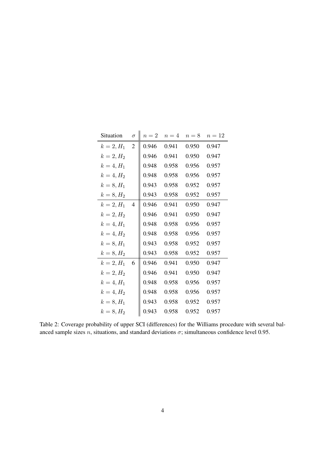| Situation    | $\sigma$       | $n=2$ | $n=4$ | $n=8$ | $n=12$ |
|--------------|----------------|-------|-------|-------|--------|
| $k = 2, H_1$ | $\mathfrak{2}$ | 0.946 | 0.941 | 0.950 | 0.947  |
| $k = 2, H_2$ |                | 0.946 | 0.941 | 0.950 | 0.947  |
| $k = 4, H_1$ |                | 0.948 | 0.958 | 0.956 | 0.957  |
| $k = 4, H_2$ |                | 0.948 | 0.958 | 0.956 | 0.957  |
| $k = 8, H_1$ |                | 0.943 | 0.958 | 0.952 | 0.957  |
| $k = 8, H_2$ |                | 0.943 | 0.958 | 0.952 | 0.957  |
| $k = 2, H_1$ | $\overline{4}$ | 0.946 | 0.941 | 0.950 | 0.947  |
| $k = 2, H_2$ |                | 0.946 | 0.941 | 0.950 | 0.947  |
| $k = 4, H_1$ |                | 0.948 | 0.958 | 0.956 | 0.957  |
| $k = 4, H_2$ |                | 0.948 | 0.958 | 0.956 | 0.957  |
| $k = 8, H_1$ |                | 0.943 | 0.958 | 0.952 | 0.957  |
| $k = 8, H_2$ |                | 0.943 | 0.958 | 0.952 | 0.957  |
| $k = 2, H_1$ | 6              | 0.946 | 0.941 | 0.950 | 0.947  |
| $k = 2, H_2$ |                | 0.946 | 0.941 | 0.950 | 0.947  |
| $k = 4, H_1$ |                | 0.948 | 0.958 | 0.956 | 0.957  |
| $k = 4, H_2$ |                | 0.948 | 0.958 | 0.956 | 0.957  |
| $k = 8, H_1$ |                | 0.943 | 0.958 | 0.952 | 0.957  |
| $k = 8, H_2$ |                | 0.943 | 0.958 | 0.952 | 0.957  |

Table 2: Coverage probability of upper SCI (differences) for the Williams procedure with several balanced sample sizes n, situations, and standard deviations  $\sigma$ ; simultaneous confidence level 0.95.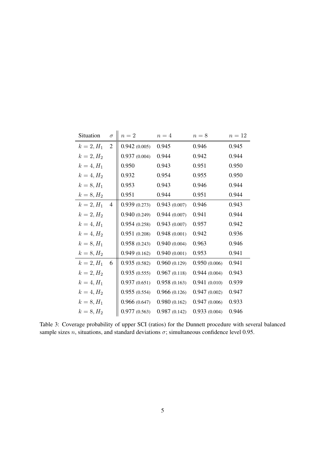| Situation    | $\sigma$       | $n=2$        | $n=4$        | $n=8$        | $n=12$ |
|--------------|----------------|--------------|--------------|--------------|--------|
| $k = 2, H_1$ | $\overline{2}$ | 0.942(0.005) | 0.945        | 0.946        | 0.945  |
| $k = 2, H_2$ |                | 0.937(0.004) | 0.944        | 0.942        | 0.944  |
| $k = 4, H_1$ |                | 0.950        | 0.943        | 0.951        | 0.950  |
| $k = 4, H_2$ |                | 0.932        | 0.954        | 0.955        | 0.950  |
| $k = 8, H_1$ |                | 0.953        | 0.943        | 0.946        | 0.944  |
| $k = 8, H_2$ |                | 0.951        | 0.944        | 0.951        | 0.944  |
| $k = 2, H_1$ | 4              | 0.939(0.273) | 0.943(0.007) | 0.946        | 0.943  |
| $k = 2, H_2$ |                | 0.940(0.249) | 0.944(0.007) | 0.941        | 0.944  |
| $k = 4, H_1$ |                | 0.954(0.258) | 0.943(0.007) | 0.957        | 0.942  |
| $k = 4, H_2$ |                | 0.951(0.208) | 0.948(0.001) | 0.942        | 0.936  |
| $k = 8, H_1$ |                | 0.958(0.243) | 0.940(0.004) | 0.963        | 0.946  |
| $k = 8, H_2$ |                | 0.949(0.162) | 0.940(0.001) | 0.953        | 0.941  |
| $k = 2, H_1$ | 6              | 0.935(0.582) | 0.960(0.129) | 0.950(0.006) | 0.941  |
| $k = 2, H_2$ |                | 0.935(0.555) | 0.967(0.118) | 0.944(0.004) | 0.943  |
| $k = 4, H_1$ |                | 0.937(0.651) | 0.958(0.163) | 0.941(0.010) | 0.939  |
| $k = 4, H_2$ |                | 0.955(0.554) | 0.966(0.126) | 0.947(0.002) | 0.947  |
| $k = 8, H_1$ |                | 0.966(0.647) | 0.980(0.162) | 0.947(0.006) | 0.933  |
| $k = 8, H_2$ |                | 0.977(0.563) | 0.987(0.142) | 0.933(0.004) | 0.946  |

Table 3: Coverage probability of upper SCI (ratios) for the Dunnett procedure with several balanced sample sizes *n*, situations, and standard deviations  $\sigma$ ; simultaneous confidence level 0.95.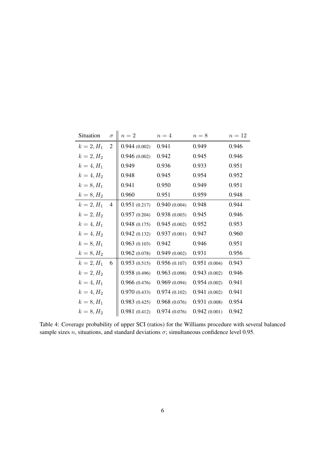| Situation    | $\sigma$       | $n=2$        | $n=4$        | $n=8$        | $n=12$ |
|--------------|----------------|--------------|--------------|--------------|--------|
| $k = 2, H_1$ | $\overline{2}$ | 0.944(0.002) | 0.941        | 0.949        | 0.946  |
| $k = 2, H_2$ |                | 0.946(0.002) | 0.942        | 0.945        | 0.946  |
| $k = 4, H_1$ |                | 0.949        | 0.936        | 0.933        | 0.951  |
| $k = 4, H_2$ |                | 0.948        | 0.945        | 0.954        | 0.952  |
| $k = 8, H_1$ |                | 0.941        | 0.950        | 0.949        | 0.951  |
| $k = 8, H_2$ |                | 0.960        | 0.951        | 0.959        | 0.948  |
| $k = 2, H_1$ | $\overline{4}$ | 0.951(0.217) | 0.940(0.004) | 0.948        | 0.944  |
| $k = 2, H_2$ |                | 0.957(0.204) | 0.938(0.003) | 0.945        | 0.946  |
| $k = 4, H_1$ |                | 0.948(0.175) | 0.945(0.002) | 0.952        | 0.953  |
| $k = 4, H_2$ |                | 0.942(0.132) | 0.937(0.001) | 0.947        | 0.960  |
| $k = 8, H_1$ |                | 0.963(0.103) | 0.942        | 0.946        | 0.951  |
| $k = 8, H_2$ |                | 0.962(0.078) | 0.949(0.002) | 0.931        | 0.956  |
| $k = 2, H_1$ | 6              | 0.953(0.515) | 0.956(0.107) | 0.951(0.004) | 0.943  |
| $k = 2, H_2$ |                | 0.958(0.496) | 0.963(0.098) | 0.943(0.002) | 0.946  |
| $k = 4, H_1$ |                | 0.966(0.476) | 0.969(0.094) | 0.954(0.002) | 0.941  |
| $k = 4, H_2$ |                | 0.970(0.433) | 0.974(0.102) | 0.941(0.002) | 0.941  |
| $k = 8, H_1$ |                | 0.983(0.425) | 0.968(0.076) | 0.931(0.008) | 0.954  |
| $k = 8, H_2$ |                | 0.981(0.412) | 0.974(0.076) | 0.942(0.001) | 0.942  |

Table 4: Coverage probability of upper SCI (ratios) for the Williams procedure with several balanced sample sizes *n*, situations, and standard deviations  $\sigma$ ; simultaneous confidence level 0.95.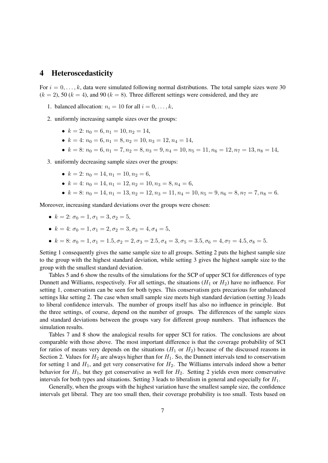#### 4 Heteroscedasticity

For  $i = 0, \ldots, k$ , data were simulated following normal distributions. The total sample sizes were 30  $(k = 2)$ , 50  $(k = 4)$ , and 90  $(k = 8)$ . Three different settings were considered, and they are

- 1. balanced allocation:  $n_i = 10$  for all  $i = 0, \ldots, k$ ,
- 2. uniformly increasing sample sizes over the groups:
	- $k = 2$ :  $n_0 = 6$ ,  $n_1 = 10$ ,  $n_2 = 14$ ,
	- $k = 4$ :  $n_0 = 6, n_1 = 8, n_2 = 10, n_3 = 12, n_4 = 14,$
	- $k = 8$ :  $n_0 = 6, n_1 = 7, n_2 = 8, n_3 = 9, n_4 = 10, n_5 = 11, n_6 = 12, n_7 = 13, n_8 = 14,$

3. uniformly decreasing sample sizes over the groups:

- $k = 2$ :  $n_0 = 14, n_1 = 10, n_2 = 6$ ,
- $k = 4$ :  $n_0 = 14, n_1 = 12, n_2 = 10, n_3 = 8, n_4 = 6,$
- $k = 8$ :  $n_0 = 14, n_1 = 13, n_2 = 12, n_3 = 11, n_4 = 10, n_5 = 9, n_6 = 8, n_7 = 7, n_8 = 6.$

Moreover, increasing standard deviations over the groups were chosen:

- $k = 2$ :  $\sigma_0 = 1, \sigma_1 = 3, \sigma_2 = 5$ ,
- $k = 4$ :  $\sigma_0 = 1, \sigma_1 = 2, \sigma_2 = 3, \sigma_3 = 4, \sigma_4 = 5,$
- $k = 8: \sigma_0 = 1, \sigma_1 = 1.5, \sigma_2 = 2, \sigma_3 = 2.5, \sigma_4 = 3, \sigma_5 = 3.5, \sigma_6 = 4, \sigma_7 = 4.5, \sigma_8 = 5.$

Setting 1 consequently gives the same sample size to all groups. Setting 2 puts the highest sample size to the group with the highest standard deviation, while setting 3 gives the highest sample size to the group with the smallest standard deviation.

Tables 5 and 6 show the results of the simulations for the SCP of upper SCI for differences of type Dunnett and Williams, respectively. For all settings, the situations  $(H_1 \text{ or } H_2)$  have no influence. For setting 1, conservatism can be seen for both types. This conservatism gets precarious for unbalanced settings like setting 2. The case when small sample size meets high standard deviation (setting 3) leads to liberal confidence intervals. The number of groups itself has also no influence in principle. But the three settings, of course, depend on the number of groups. The differences of the sample sizes and standard deviations between the groups vary for different group numbers. That influences the simulation results.

Tables 7 and 8 show the analogical results for upper SCI for ratios. The conclusions are about comparable with those above. The most important difference is that the coverage probability of SCI for ratios of means very depends on the situations  $(H_1 \text{ or } H_2)$  because of the discussed reasons in Section 2. Values for  $H_2$  are always higher than for  $H_1$ . So, the Dunnett intervals tend to conservatism for setting 1 and  $H_1$ , and get very conservative for  $H_2$ . The Williams intervals indeed show a better behavior for  $H_1$ , but they get conservative as well for  $H_2$ . Setting 2 yields even more conservative intervals for both types and situations. Setting 3 leads to liberalism in general and especially for  $H_1$ .

Generally, when the groups with the highest variation have the smallest sample size, the confidence intervals get liberal. They are too small then, their coverage probability is too small. Tests based on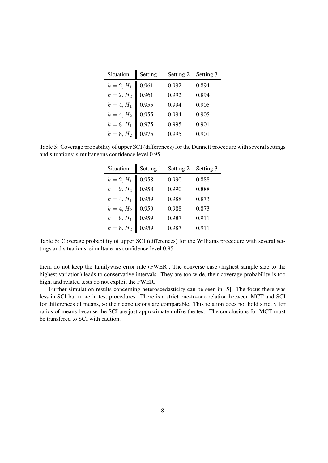| Situation    | Setting 1 | Setting 2 | Setting 3 |
|--------------|-----------|-----------|-----------|
| $k = 2, H_1$ | 0.961     | 0.992     | 0.894     |
| $k = 2, H_2$ | 0.961     | 0.992     | 0.894     |
| $k = 4, H_1$ | 0.955     | 0.994     | 0.905     |
| $k = 4, H_2$ | 0.955     | 0.994     | 0.905     |
| $k = 8, H_1$ | 0.975     | 0.995     | 0.901     |
| $k = 8, H_2$ | 0.975     | 0.995     | 0.901     |

Table 5: Coverage probability of upper SCI (differences) for the Dunnett procedure with several settings and situations; simultaneous confidence level 0.95.

| Situation    | Setting 1 | Setting 2 | Setting 3 |
|--------------|-----------|-----------|-----------|
| $k = 2, H_1$ | 0.958     | 0.990     | 0.888     |
| $k = 2, H_2$ | 0.958     | 0.990     | 0.888     |
| $k = 4, H_1$ | 0.959     | 0.988     | 0.873     |
| $k = 4, H_2$ | 0.959     | 0.988     | 0.873     |
| $k = 8, H_1$ | 0.959     | 0.987     | 0.911     |
| $k = 8, H_2$ | 0.959     | 0.987     | 0.911     |

Table 6: Coverage probability of upper SCI (differences) for the Williams procedure with several settings and situations; simultaneous confidence level 0.95.

them do not keep the familywise error rate (FWER). The converse case (highest sample size to the highest variation) leads to conservative intervals. They are too wide, their coverage probability is too high, and related tests do not exploit the FWER.

Further simulation results concerning heteroscedasticity can be seen in [5]. The focus there was less in SCI but more in test procedures. There is a strict one-to-one relation between MCT and SCI for differences of means, so their conclusions are comparable. This relation does not hold strictly for ratios of means because the SCI are just approximate unlike the test. The conclusions for MCT must be transfered to SCI with caution.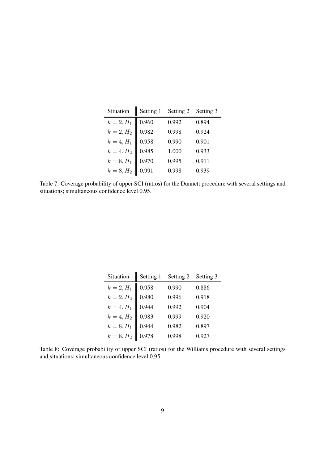| Situation    | Setting 1 | Setting 2 | Setting 3 |
|--------------|-----------|-----------|-----------|
| $k = 2, H_1$ | 0.960     | 0.992     | 0.894     |
| $k = 2, H_2$ | 0.982     | 0.998     | 0.924     |
| $k = 4, H_1$ | 0.958     | 0.990     | 0.901     |
| $k = 4, H_2$ | 0.985     | 1.000     | 0.933     |
| $k = 8, H_1$ | 0.970     | 0.995     | 0.911     |
| $k = 8, H_2$ | 0.991     | 0.998     | 0.939     |

Table 7: Coverage probability of upper SCI (ratios) for the Dunnett procedure with several settings and situations; simultaneous confidence level 0.95.

| Situation    | Setting 1 | Setting 2 | Setting 3 |
|--------------|-----------|-----------|-----------|
| $k = 2, H_1$ | 0.958     | 0.990     | 0.886     |
| $k = 2, H_2$ | 0.980     | 0.996     | 0.918     |
| $k = 4, H_1$ | 0.944     | 0.992     | 0.904     |
| $k = 4, H_2$ | 0.983     | 0.999     | 0.920     |
| $k = 8, H_1$ | 0.944     | 0.982     | 0.897     |
| $k = 8, H_2$ | 0.978     | 0.998     | 0.927     |

Table 8: Coverage probability of upper SCI (ratios) for the Williams procedure with several settings and situations; simultaneous confidence level 0.95.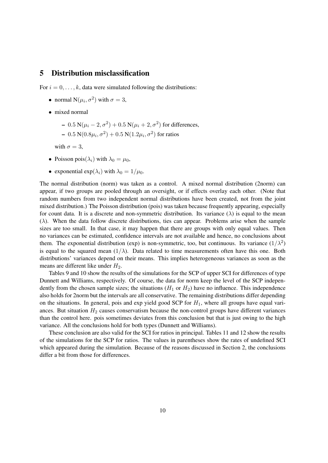# 5 Distribution misclassification

For  $i = 0, \ldots, k$ , data were simulated following the distributions:

- normal  $N(\mu_i, \sigma^2)$  with  $\sigma = 3$ ,
- mixed normal
	- $-$  0.5 N( $\mu$ <sub>i</sub> − 2,  $\sigma$ <sup>2</sup>) + 0.5 N( $\mu$ <sub>i</sub> + 2,  $\sigma$ <sup>2</sup>) for differences,  $-0.5\,\mathrm{N}(0.8\mu_{i},\sigma^{2})+0.5\,\mathrm{N}(1.2\mu_{i},\sigma^{2})$  for ratios

with  $\sigma = 3$ ,

- Poisson pois $(\lambda_i)$  with  $\lambda_0 = \mu_0$ ,
- exponential  $\exp(\lambda_i)$  with  $\lambda_0 = 1/\mu_0$ .

The normal distribution (norm) was taken as a control. A mixed normal distribution (2norm) can appear, if two groups are pooled through an oversight, or if effects overlay each other. (Note that random numbers from two independent normal distributions have been created, not from the joint mixed distribution.) The Poisson distribution (pois) was taken because frequently appearing, especially for count data. It is a discrete and non-symmetric distribution. Its variance  $(\lambda)$  is equal to the mean  $(\lambda)$ . When the data follow discrete distributions, ties can appear. Problems arise when the sample sizes are too small. In that case, it may happen that there are groups with only equal values. Then no variances can be estimated, confidence intervals are not available and hence, no conclusions about them. The exponential distribution (exp) is non-symmetric, too, but continuous. Its variance  $(1/\lambda^2)$ is equal to the squared mean  $(1/\lambda)$ . Data related to time measurements often have this one. Both distributions' variances depend on their means. This implies heterogeneous variances as soon as the means are different like under  $H_2$ .

Tables 9 and 10 show the results of the simulations for the SCP of upper SCI for differences of type Dunnett and Williams, respectively. Of course, the data for norm keep the level of the SCP independently from the chosen sample sizes; the situations  $(H_1 \text{ or } H_2)$  have no influence. This independence also holds for 2norm but the intervals are all conservative. The remaining distributions differ depending on the situations. In general, pois and exp yield good SCP for  $H_1$ , where all groups have equal variances. But situation  $H_2$  causes conservatism because the non-control groups have different variances than the control here. pois sometimes deviates from this conclusion but that is just owing to the high variance. All the conclusions hold for both types (Dunnett and Williams).

These conclusion are also valid for the SCI for ratios in principal. Tables 11 and 12 show the results of the simulations for the SCP for ratios. The values in parentheses show the rates of undefined SCI which appeared during the simulation. Because of the reasons discussed in Section 2, the conclusions differ a bit from those for differences.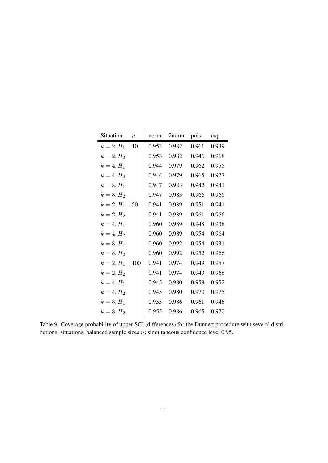| Situation    | $\, n$ | norm  | 2norm | pois  | exp   |
|--------------|--------|-------|-------|-------|-------|
| $k = 2, H_1$ | 10     | 0.953 | 0.982 | 0.961 | 0.939 |
| $k = 2, H_2$ |        | 0.953 | 0.982 | 0.946 | 0.968 |
| $k = 4, H_1$ |        | 0.944 | 0.979 | 0.962 | 0.955 |
| $k = 4, H_2$ |        | 0.944 | 0.979 | 0.965 | 0.977 |
| $k = 8, H_1$ |        | 0.947 | 0.983 | 0.942 | 0.941 |
| $k = 8, H_2$ |        | 0.947 | 0.983 | 0.966 | 0.966 |
| $k = 2, H_1$ | 50     | 0.941 | 0.989 | 0.951 | 0.941 |
| $k = 2, H_2$ |        | 0.941 | 0.989 | 0.961 | 0.966 |
| $k = 4, H_1$ |        | 0.960 | 0.989 | 0.948 | 0.938 |
| $k = 4, H_2$ |        | 0.960 | 0.989 | 0.954 | 0.964 |
| $k = 8, H_1$ |        | 0.960 | 0.992 | 0.954 | 0.931 |
| $k = 8, H_2$ |        | 0.960 | 0.992 | 0.952 | 0.966 |
| $k = 2, H_1$ | 100    | 0.941 | 0.974 | 0.949 | 0.957 |
| $k = 2, H_2$ |        | 0.941 | 0.974 | 0.949 | 0.968 |
| $k = 4, H_1$ |        | 0.945 | 0.980 | 0.959 | 0.952 |
| $k = 4, H_2$ |        | 0.945 | 0.980 | 0.970 | 0.975 |
| $k = 8, H_1$ |        | 0.955 | 0.986 | 0.961 | 0.946 |
| $k = 8, H_2$ |        | 0.955 | 0.986 | 0.965 | 0.970 |

Table 9: Coverage probability of upper SCI (differences) for the Dunnett procedure with several distributions, situations, balanced sample sizes n; simultaneous confidence level 0.95.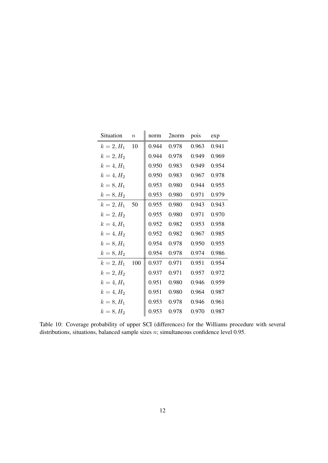| Situation       | $\, n$ | norm  | 2norm | pois  | exp   |
|-----------------|--------|-------|-------|-------|-------|
| $k = 2, H_1$    | 10     | 0.944 | 0.978 | 0.963 | 0.941 |
| $k = 2, H_2$    |        | 0.944 | 0.978 | 0.949 | 0.969 |
| $k = 4, H_1$    |        | 0.950 | 0.983 | 0.949 | 0.954 |
| $k = 4, H_2$    |        | 0.950 | 0.983 | 0.967 | 0.978 |
| $k = 8, H_1$    |        | 0.953 | 0.980 | 0.944 | 0.955 |
| $k = 8, H_2$    |        | 0.953 | 0.980 | 0.971 | 0.979 |
| $k = 2, H_1$ 50 |        | 0.955 | 0.980 | 0.943 | 0.943 |
| $k = 2, H_2$    |        | 0.955 | 0.980 | 0.971 | 0.970 |
| $k = 4, H_1$    |        | 0.952 | 0.982 | 0.953 | 0.958 |
| $k = 4, H_2$    |        | 0.952 | 0.982 | 0.967 | 0.985 |
| $k = 8, H_1$    |        | 0.954 | 0.978 | 0.950 | 0.955 |
| $k = 8, H_2$    |        | 0.954 | 0.978 | 0.974 | 0.986 |
| $k = 2, H_1$    | 100    | 0.937 | 0.971 | 0.951 | 0.954 |
| $k = 2, H_2$    |        | 0.937 | 0.971 | 0.957 | 0.972 |
| $k = 4, H_1$    |        | 0.951 | 0.980 | 0.946 | 0.959 |
| $k = 4, H_2$    |        | 0.951 | 0.980 | 0.964 | 0.987 |
| $k = 8, H_1$    |        | 0.953 | 0.978 | 0.946 | 0.961 |
| $k = 8, H_2$    |        | 0.953 | 0.978 | 0.970 | 0.987 |

Table 10: Coverage probability of upper SCI (differences) for the Williams procedure with several distributions, situations, balanced sample sizes  $n$ ; simultaneous confidence level 0.95.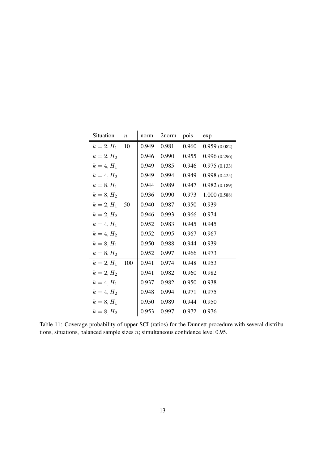| Situation    | $\it{n}$ | norm  | 2norm | pois  | exp          |
|--------------|----------|-------|-------|-------|--------------|
| $k = 2, H_1$ | 10       | 0.949 | 0.981 | 0.960 | 0.959(0.082) |
| $k = 2, H_2$ |          | 0.946 | 0.990 | 0.955 | 0.996(0.296) |
| $k = 4, H_1$ |          | 0.949 | 0.985 | 0.946 | 0.975(0.133) |
| $k = 4, H_2$ |          | 0.949 | 0.994 | 0.949 | 0.998(0.425) |
| $k = 8, H_1$ |          | 0.944 | 0.989 | 0.947 | 0.982(0.189) |
| $k = 8, H_2$ |          | 0.936 | 0.990 | 0.973 | 1.000(0.588) |
| $k = 2, H_1$ | 50       | 0.940 | 0.987 | 0.950 | 0.939        |
| $k = 2, H_2$ |          | 0.946 | 0.993 | 0.966 | 0.974        |
| $k = 4, H_1$ |          | 0.952 | 0.983 | 0.945 | 0.945        |
| $k = 4, H_2$ |          | 0.952 | 0.995 | 0.967 | 0.967        |
| $k = 8, H_1$ |          | 0.950 | 0.988 | 0.944 | 0.939        |
| $k = 8, H_2$ |          | 0.952 | 0.997 | 0.966 | 0.973        |
| $k = 2, H_1$ | 100      | 0.941 | 0.974 | 0.948 | 0.953        |
| $k = 2, H_2$ |          | 0.941 | 0.982 | 0.960 | 0.982        |
| $k = 4, H_1$ |          | 0.937 | 0.982 | 0.950 | 0.938        |
| $k = 4, H_2$ |          | 0.948 | 0.994 | 0.971 | 0.975        |
| $k = 8, H_1$ |          | 0.950 | 0.989 | 0.944 | 0.950        |
| $k = 8, H_2$ |          | 0.953 | 0.997 | 0.972 | 0.976        |

Table 11: Coverage probability of upper SCI (ratios) for the Dunnett procedure with several distributions, situations, balanced sample sizes  $n$ ; simultaneous confidence level 0.95.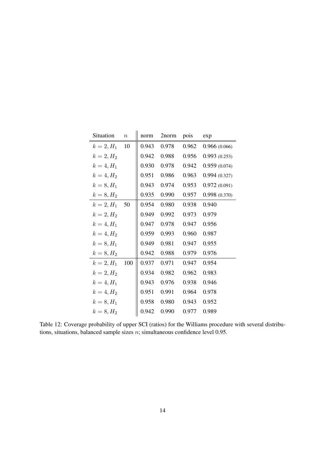| Situation    | $\boldsymbol{n}$ | norm  | 2norm | pois  | exp          |
|--------------|------------------|-------|-------|-------|--------------|
| $k = 2, H_1$ | 10               | 0.943 | 0.978 | 0.962 | 0.966(0.066) |
| $k = 2, H_2$ |                  | 0.942 | 0.988 | 0.956 | 0.993(0.253) |
| $k = 4, H_1$ |                  | 0.930 | 0.978 | 0.942 | 0.959(0.074) |
| $k = 4, H_2$ |                  | 0.951 | 0.986 | 0.963 | 0.994(0.327) |
| $k = 8, H_1$ |                  | 0.943 | 0.974 | 0.953 | 0.972(0.091) |
| $k = 8, H_2$ |                  | 0.935 | 0.990 | 0.957 | 0.998(0.370) |
| $k = 2, H_1$ | - 50             | 0.954 | 0.980 | 0.938 | 0.940        |
| $k = 2, H_2$ |                  | 0.949 | 0.992 | 0.973 | 0.979        |
| $k = 4, H_1$ |                  | 0.947 | 0.978 | 0.947 | 0.956        |
| $k = 4, H_2$ |                  | 0.959 | 0.993 | 0.960 | 0.987        |
| $k = 8, H_1$ |                  | 0.949 | 0.981 | 0.947 | 0.955        |
| $k = 8, H_2$ |                  | 0.942 | 0.988 | 0.979 | 0.976        |
| $k = 2, H_1$ | 100              | 0.937 | 0.971 | 0.947 | 0.954        |
| $k = 2, H_2$ |                  | 0.934 | 0.982 | 0.962 | 0.983        |
| $k = 4, H_1$ |                  | 0.943 | 0.976 | 0.938 | 0.946        |
| $k = 4, H_2$ |                  | 0.951 | 0.991 | 0.964 | 0.978        |
| $k = 8, H_1$ |                  | 0.958 | 0.980 | 0.943 | 0.952        |
| $k = 8, H_2$ |                  | 0.942 | 0.990 | 0.977 | 0.989        |

Table 12: Coverage probability of upper SCI (ratios) for the Williams procedure with several distributions, situations, balanced sample sizes  $n$ ; simultaneous confidence level 0.95.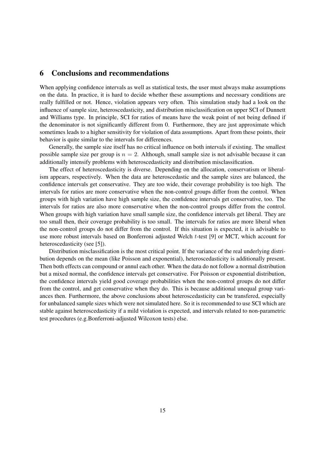# 6 Conclusions and recommendations

When applying confidence intervals as well as statistical tests, the user must always make assumptions on the data. In practice, it is hard to decide whether these assumptions and necessary conditions are really fulfilled or not. Hence, violation appears very often. This simulation study had a look on the influence of sample size, heteroscedasticity, and distribution misclassification on upper SCI of Dunnett and Williams type. In principle, SCI for ratios of means have the weak point of not being defined if the denominator is not significantly different from 0. Furthermore, they are just approximate which sometimes leads to a higher sensitivity for violation of data assumptions. Apart from these points, their behavior is quite similar to the intervals for differences.

Generally, the sample size itself has no critical influence on both intervals if existing. The smallest possible sample size per group is  $n = 2$ . Although, small sample size is not advisable because it can additionally intensify problems with heteroscedasticity and distribution misclassification.

The effect of heteroscedasticity is diverse. Depending on the allocation, conservatism or liberalism appears, respectively. When the data are heteroscedastic and the sample sizes are balanced, the confidence intervals get conservative. They are too wide, their coverage probability is too high. The intervals for ratios are more conservative when the non-control groups differ from the control. When groups with high variation have high sample size, the confidence intervals get conservative, too. The intervals for ratios are also more conservative when the non-control groups differ from the control. When groups with high variation have small sample size, the confidence intervals get liberal. They are too small then, their coverage probability is too small. The intervals for ratios are more liberal when the non-control groups do not differ from the control. If this situation is expected, it is advisable to use more robust intervals based on Bonferroni adjusted Welch t-test [9] or MCT, which account for heteroscedasticity (see [5]).

Distribution misclassification is the most critical point. If the variance of the real underlying distribution depends on the mean (like Poisson and exponential), heteroscedasticity is additionally present. Then both effects can compound or annul each other. When the data do not follow a normal distribution but a mixed normal, the confidence intervals get conservative. For Poisson or exponential distribution, the confidence intervals yield good coverage probabilities when the non-control groups do not differ from the control, and get conservative when they do. This is because additional unequal group variances then. Furthermore, the above conclusions about heteroscedasticity can be transfered, especially for unbalanced sample sizes which were not simulated here. So it is recommended to use SCI which are stable against heteroscedasticity if a mild violation is expected, and intervals related to non-parametric test procedures (e.g.Bonferroni-adjusted Wilcoxon tests) else.